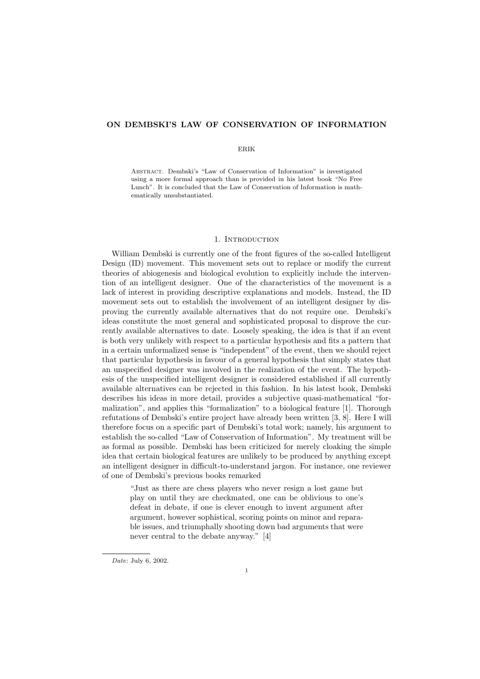## ON DEMBSKI'S LAW OF CONSERVATION OF INFORMATION

### ERIK

Abstract. Dembski's "Law of Conservation of Information" is investigated using a more formal approach than is provided in his latest book "No Free Lunch". It is concluded that the Law of Conservation of Information is mathematically unsubstantiated.

### 1. INTRODUCTION

William Dembski is currently one of the front figures of the so-called Intelligent Design (ID) movement. This movement sets out to replace or modify the current theories of abiogenesis and biological evolution to explicitly include the intervention of an intelligent designer. One of the characteristics of the movement is a lack of interest in providing descriptive explanations and models. Instead, the ID movement sets out to establish the involvement of an intelligent designer by disproving the currently available alternatives that do not require one. Dembski's ideas constitute the most general and sophisticated proposal to disprove the currently available alternatives to date. Loosely speaking, the idea is that if an event is both very unlikely with respect to a particular hypothesis and fits a pattern that in a certain unformalized sense is "independent" of the event, then we should reject that particular hypothesis in favour of a general hypothesis that simply states that an unspecified designer was involved in the realization of the event. The hypothesis of the unspecified intelligent designer is considered established if all currently available alternatives can be rejected in this fashion. In his latest book, Dembski describes his ideas in more detail, provides a subjective quasi-mathematical "formalization", and applies this "formalization" to a biological feature [1]. Thorough refutations of Dembski's entire project have already been written [3, 8]. Here I will therefore focus on a specific part of Dembski's total work; namely, his argument to establish the so-called "Law of Conservation of Information". My treatment will be as formal as possible. Dembski has been criticized for merely cloaking the simple idea that certain biological features are unlikely to be produced by anything except an intelligent designer in difficult-to-understand jargon. For instance, one reviewer of one of Dembski's previous books remarked

"Just as there are chess players who never resign a lost game but play on until they are checkmated, one can be oblivious to one's defeat in debate, if one is clever enough to invent argument after argument, however sophistical, scoring points on minor and reparable issues, and triumphally shooting down bad arguments that were never central to the debate anyway." [4]

Date: July 6, 2002.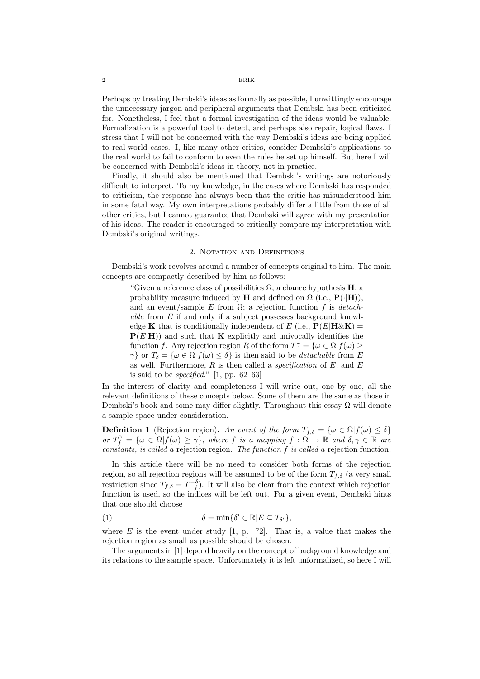Perhaps by treating Dembski's ideas as formally as possible, I unwittingly encourage the unnecessary jargon and peripheral arguments that Dembski has been criticized for. Nonetheless, I feel that a formal investigation of the ideas would be valuable. Formalization is a powerful tool to detect, and perhaps also repair, logical flaws. I stress that I will not be concerned with the way Dembski's ideas are being applied to real-world cases. I, like many other critics, consider Dembski's applications to the real world to fail to conform to even the rules he set up himself. But here I will be concerned with Dembski's ideas in theory, not in practice.

Finally, it should also be mentioned that Dembski's writings are notoriously difficult to interpret. To my knowledge, in the cases where Dembski has responded to criticism, the response has always been that the critic has misunderstood him in some fatal way. My own interpretations probably differ a little from those of all other critics, but I cannot guarantee that Dembski will agree with my presentation of his ideas. The reader is encouraged to critically compare my interpretation with Dembski's original writings.

# 2. NOTATION AND DEFINITIONS

Dembski's work revolves around a number of concepts original to him. The main concepts are compactly described by him as follows:

"Given a reference class of possibilities  $\Omega$ , a chance hypothesis **H**, a probability measure induced by H and defined on  $\Omega$  (i.e.,  $\mathbf{P}(\cdot|\mathbf{H})$ ), and an event/sample E from  $\Omega$ ; a rejection function f is detachable from E if and only if a subject possesses background knowledge **K** that is conditionally independent of E (i.e.,  $P(E|H \& K)$ )  $P(E|H)$  and such that **K** explicitly and univocally identifies the function f. Any rejection region R of the form  $T^{\gamma} = {\omega \in \Omega | f(\omega) \geq \Omega}$  $\gamma$ } or  $T_{\delta} = {\omega \in \Omega | f(\omega) \leq \delta}$  is then said to be *detachable* from E as well. Furthermore,  $R$  is then called a *specification* of  $E$ , and  $E$ is said to be *specified.*" [1, pp. 62–63]

In the interest of clarity and completeness I will write out, one by one, all the relevant definitions of these concepts below. Some of them are the same as those in Dembski's book and some may differ slightly. Throughout this essay  $\Omega$  will denote a sample space under consideration.

**Definition 1** (Rejection region). An event of the form  $T_{f,\delta} = {\omega \in \Omega | f(\omega) \leq \delta}$ or  $T_f^{\gamma} = {\omega \in \Omega | f(\omega) \ge \gamma },$  where f is a mapping  $f : \Omega \to \mathbb{R}$  and  $\delta, \gamma \in \mathbb{R}$  are constants, is called a rejection region. The function  $f$  is called a rejection function.

In this article there will be no need to consider both forms of the rejection region, so all rejection regions will be assumed to be of the form  $T_{f,\delta}$  (a very small restriction since  $T_{f,\delta} = T_{-f}^{-\delta}$ . It will also be clear from the context which rejection function is used, so the indices will be left out. For a given event, Dembski hints that one should choose

(1) 
$$
\delta = \min \{ \delta' \in \mathbb{R} | E \subseteq T_{\delta'} \},
$$

where  $E$  is the event under study [1, p. 72]. That is, a value that makes the rejection region as small as possible should be chosen.

The arguments in [1] depend heavily on the concept of background knowledge and its relations to the sample space. Unfortunately it is left unformalized, so here I will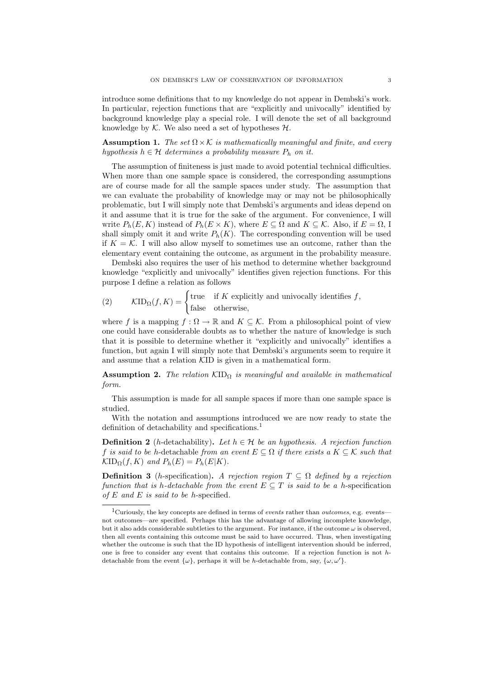introduce some definitions that to my knowledge do not appear in Dembski's work. In particular, rejection functions that are "explicitly and univocally" identified by background knowledge play a special role. I will denote the set of all background knowledge by  $K$ . We also need a set of hypotheses  $H$ .

**Assumption 1.** The set  $\Omega \times K$  is mathematically meaningful and finite, and every hypothesis  $h \in \mathcal{H}$  determines a probability measure  $P_h$  on it.

The assumption of finiteness is just made to avoid potential technical difficulties. When more than one sample space is considered, the corresponding assumptions are of course made for all the sample spaces under study. The assumption that we can evaluate the probability of knowledge may or may not be philosophically problematic, but I will simply note that Dembski's arguments and ideas depend on it and assume that it is true for the sake of the argument. For convenience, I will write  $P_h(E, K)$  instead of  $P_h(E \times K)$ , where  $E \subseteq \Omega$  and  $K \subseteq \mathcal{K}$ . Also, if  $E = \Omega$ , I shall simply omit it and write  $P_h(K)$ . The corresponding convention will be used if  $K = \mathcal{K}$ . I will also allow myself to sometimes use an outcome, rather than the elementary event containing the outcome, as argument in the probability measure.

Dembski also requires the user of his method to determine whether background knowledge "explicitly and univocally" identifies given rejection functions. For this purpose I define a relation as follows

(2) 
$$
\mathcal{KID}_{\Omega}(f, K) = \begin{cases} \text{true} & \text{if } K \text{ explicitly and univocally identifies } f, \\ \text{false} & \text{otherwise,} \end{cases}
$$

where f is a mapping  $f : \Omega \to \mathbb{R}$  and  $K \subseteq \mathcal{K}$ . From a philosophical point of view one could have considerable doubts as to whether the nature of knowledge is such that it is possible to determine whether it "explicitly and univocally" identifies a function, but again I will simply note that Dembski's arguments seem to require it and assume that a relation KID is given in a mathematical form.

**Assumption 2.** The relation  $\text{KID}_{\Omega}$  is meaningful and available in mathematical form.

This assumption is made for all sample spaces if more than one sample space is studied.

With the notation and assumptions introduced we are now ready to state the definition of detachability and specifications.<sup>1</sup>

**Definition 2** (h-detachability). Let  $h \in \mathcal{H}$  be an hypothesis. A rejection function f is said to be h-detachable from an event  $E \subseteq \Omega$  if there exists a  $K \subseteq \mathcal{K}$  such that  $\mathcal{K}ID_{\Omega}(f, K)$  and  $P_h(E) = P_h(E|K)$ .

**Definition 3** (*h*-specification). A rejection region  $T \subseteq \Omega$  defined by a rejection function that is h-detachable from the event  $E \subseteq T$  is said to be a h-specification of  $E$  and  $E$  is said to be h-specified.

<sup>&</sup>lt;sup>1</sup>Curiously, the key concepts are defined in terms of *events* rather than *outcomes*, e.g. events not outcomes—are specified. Perhaps this has the advantage of allowing incomplete knowledge, but it also adds considerable subtleties to the argument. For instance, if the outcome  $\omega$  is observed, then all events containing this outcome must be said to have occurred. Thus, when investigating whether the outcome is such that the ID hypothesis of intelligent intervention should be inferred, one is free to consider any event that contains this outcome. If a rejection function is not  $h$ detachable from the event  $\{\omega\}$ , perhaps it will be h-detachable from, say,  $\{\omega, \omega'\}$ .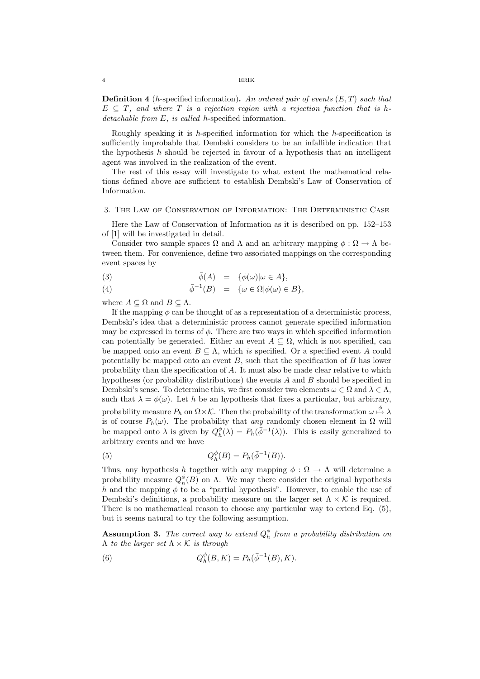**Definition 4** (*h*-specified information). An ordered pair of events  $(E, T)$  such that  $E \subseteq T$ , and where T is a rejection region with a rejection function that is hdetachable from E, is called h-specified information.

Roughly speaking it is h-specified information for which the h-specification is sufficiently improbable that Dembski considers to be an infallible indication that the hypothesis  $h$  should be rejected in favour of a hypothesis that an intelligent agent was involved in the realization of the event.

The rest of this essay will investigate to what extent the mathematical relations defined above are sufficient to establish Dembski's Law of Conservation of Information.

### 3. The Law of Conservation of Information: The Deterministic Case

Here the Law of Conservation of Information as it is described on pp. 152–153 of [1] will be investigated in detail.

Consider two sample spaces  $\Omega$  and  $\Lambda$  and an arbitrary mapping  $\phi : \Omega \to \Lambda$  between them. For convenience, define two associated mappings on the corresponding event spaces by

(3) 
$$
\bar{\phi}(A) = {\phi(\omega)|\omega \in A},
$$

(4) 
$$
\bar{\phi}^{-1}(B) = \{\omega \in \Omega | \phi(\omega) \in B \},\
$$

where  $A \subseteq \Omega$  and  $B \subseteq \Lambda$ .

If the mapping  $\phi$  can be thought of as a representation of a deterministic process, Dembski's idea that a deterministic process cannot generate specified information may be expressed in terms of  $\phi$ . There are two ways in which specified information can potentially be generated. Either an event  $A \subseteq \Omega$ , which is not specified, can be mapped onto an event  $B \subseteq \Lambda$ , which is specified. Or a specified event A could potentially be mapped onto an event  $B$ , such that the specification of  $B$  has lower probability than the specification of A. It must also be made clear relative to which hypotheses (or probability distributions) the events A and B should be specified in Dembski's sense. To determine this, we first consider two elements  $\omega \in \Omega$  and  $\lambda \in \Lambda$ , such that  $\lambda = \phi(\omega)$ . Let h be an hypothesis that fixes a particular, but arbitrary, probability measure  $P_h$  on  $\Omega \times \mathcal{K}$ . Then the probability of the transformation  $\omega \stackrel{\phi}{\mapsto} \lambda$ is of course  $P_h(\omega)$ . The probability that any randomly chosen element in  $\Omega$  will be mapped onto  $\lambda$  is given by  $Q_h^{\phi}(\lambda) = P_h(\bar{\phi}^{-1}(\lambda))$ . This is easily generalized to arbitrary events and we have

(5) 
$$
Q_h^{\phi}(B) = P_h(\bar{\phi}^{-1}(B)).
$$

Thus, any hypothesis h together with any mapping  $\phi : \Omega \to \Lambda$  will determine a probability measure  $Q_h^{\phi}(B)$  on  $\Lambda$ . We may there consider the original hypothesis h and the mapping  $\phi$  to be a "partial hypothesis". However, to enable the use of Dembski's definitions, a probability measure on the larger set  $\Lambda \times \mathcal{K}$  is required. There is no mathematical reason to choose any particular way to extend Eq. (5), but it seems natural to try the following assumption.

**Assumption 3.** The correct way to extend  $Q_h^{\phi}$  from a probability distribution on  $Λ$  to the larger set  $Λ \times K$  is through

(6) 
$$
Q_h^{\phi}(B,K) = P_h(\bar{\phi}^{-1}(B),K).
$$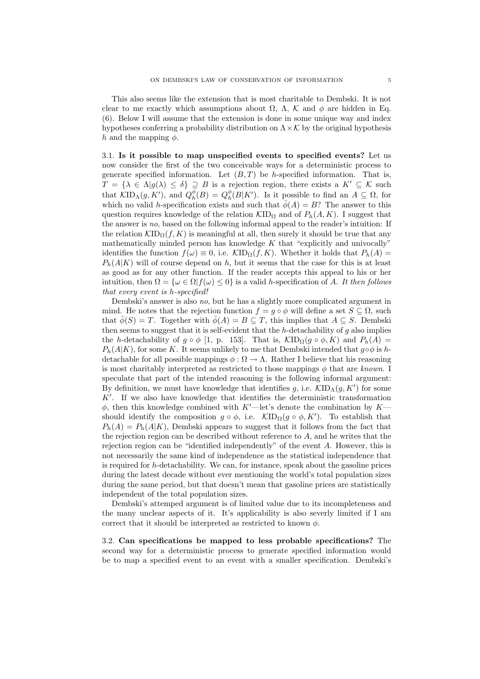This also seems like the extension that is most charitable to Dembski. It is not clear to me exactly which assumptions about  $\Omega$ ,  $\Lambda$ ,  $\mathcal{K}$  and  $\phi$  are hidden in Eq. (6). Below I will assume that the extension is done in some unique way and index hypotheses conferring a probability distribution on  $\Lambda \times \mathcal{K}$  by the original hypothesis h and the mapping  $\phi$ .

3.1. Is it possible to map unspecified events to specified events? Let us now consider the first of the two conceivable ways for a deterministic process to generate specified information. Let  $(B, T)$  be h-specified information. That is,  $T = {\lambda \in \Lambda | g(\lambda) \leq \delta} \supseteq B$  is a rejection region, there exists a  $K' \subseteq \mathcal{K}$  such that  $KID_{\Lambda}(g, K')$ , and  $Q_h^{\phi}(B) = Q_h^{\phi}(B|K')$ . Is it possible to find an  $A \subseteq \Omega$ , for which no valid h-specification exists and such that  $\bar{\phi}(A) = B$ ? The answer to this question requires knowledge of the relation  $\mathcal{KID}_{\Omega}$  and of  $P_h(A, K)$ . I suggest that the answer is no, based on the following informal appeal to the reader's intuition: If the relation  $\mathcal{K}ID_{\Omega}(f, K)$  is meaningful at all, then surely it should be true that any mathematically minded person has knowledge  $K$  that "explicitly and univocally" identifies the function  $f(\omega) \equiv 0$ , i.e.  $\mathcal{K}ID_{\Omega}(f,K)$ . Whether it holds that  $P_h(A) =$  $P_h(A|K)$  will of course depend on h, but it seems that the case for this is at least as good as for any other function. If the reader accepts this appeal to his or her intuition, then  $\Omega = {\omega \in \Omega | f(\omega) \leq 0}$  is a valid h-specification of A. It then follows that every event is h-specified!

Dembski's answer is also no, but he has a slightly more complicated argument in mind. He notes that the rejection function  $f = g \circ \phi$  will define a set  $S \subseteq \Omega$ , such that  $\bar{\phi}(S) = T$ . Together with  $\bar{\phi}(A) = B \subseteq T$ , this implies that  $A \subseteq S$ . Dembski then seems to suggest that it is self-evident that the  $h$ -detachability of  $g$  also implies the h-detachability of  $g \circ \phi$  [1, p. 153]. That is,  $\mathcal{KID}_{\Omega}(g \circ \phi, K)$  and  $P_h(A) =$  $P_h(A|K)$ , for some K. It seems unlikely to me that Dembski intended that  $q \circ \phi$  is hdetachable for all possible mappings  $\phi : \Omega \to \Lambda$ . Rather I believe that his reasoning is most charitably interpreted as restricted to those mappings  $\phi$  that are known. I speculate that part of the intended reasoning is the following informal argument: By definition, we must have knowledge that identifies g, i.e.  $\mathcal{K}ID_{\Lambda}(g, K')$  for some  $K'$ . If we also have knowledge that identifies the deterministic transformation  $\phi$ , then this knowledge combined with K'—let's denote the combination by K should identify the composition  $g \circ \phi$ , i.e.  $\mathcal{K}ID_{\Omega}(g \circ \phi, K')$ . To establish that  $P_h(A) = P_h(A|K)$ , Dembski appears to suggest that it follows from the fact that the rejection region can be described without reference to  $A$ , and he writes that the rejection region can be "identified independently" of the event A. However, this is not necessarily the same kind of independence as the statistical independence that is required for h-detachability. We can, for instance, speak about the gasoline prices during the latest decade without ever mentioning the world's total population sizes during the same period, but that doesn't mean that gasoline prices are statistically independent of the total population sizes.

Dembski's attemped argument is of limited value due to its incompleteness and the many unclear aspects of it. It's applicability is also severly limited if I am correct that it should be interpreted as restricted to known  $\phi$ .

3.2. Can specifications be mapped to less probable specifications? The second way for a deterministic process to generate specified information would be to map a specified event to an event with a smaller specification. Dembski's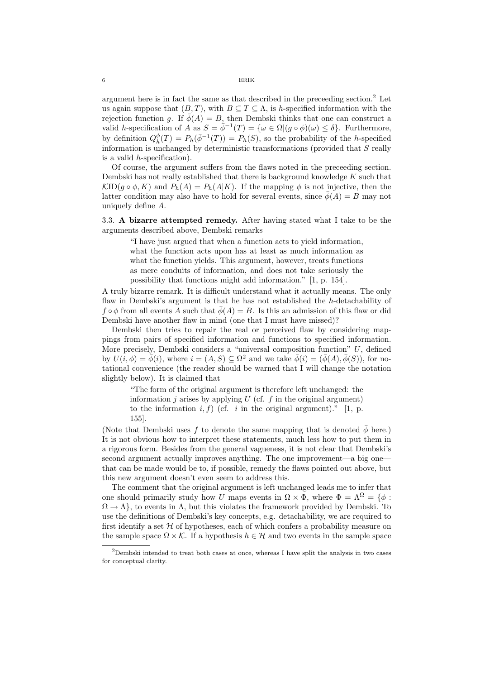argument here is in fact the same as that described in the preceeding section.<sup>2</sup> Let us again suppose that  $(B, T)$ , with  $B \subseteq T \subseteq \Lambda$ , is h-specified information with the rejection function g. If  $\bar{\phi}(A) = B$ , then Dembski thinks that one can construct a valid h-specification of A as  $S = \bar{\phi}^{-1}(T) = {\omega \in \Omega | (g \circ \phi)(\omega) \leq \delta}.$  Furthermore, by definition  $Q_h^{\phi}(T) = P_h(\bar{\phi}^{-1}(T)) = P_h(S)$ , so the probability of the h-specified information is unchanged by deterministic transformations (provided that  $S$  really is a valid h-specification).

Of course, the argument suffers from the flaws noted in the preceeding section. Dembski has not really established that there is background knowledge K such that  $\mathcal{K}ID(g \circ \phi, K)$  and  $P_h(A) = P_h(A|K)$ . If the mapping  $\phi$  is not injective, then the latter condition may also have to hold for several events, since  $\phi(A) = B$  may not uniquely define A.

3.3. A bizarre attempted remedy. After having stated what I take to be the arguments described above, Dembski remarks

"I have just argued that when a function acts to yield information, what the function acts upon has at least as much information as what the function yields. This argument, however, treats functions as mere conduits of information, and does not take seriously the possibility that functions might add information." [1, p. 154].

A truly bizarre remark. It is difficult understand what it actually means. The only flaw in Dembski's argument is that he has not established the h-detachability of  $f \circ \phi$  from all events A such that  $\bar{\phi}(A) = B$ . Is this an admission of this flaw or did Dembski have another flaw in mind (one that I must have missed)?

Dembski then tries to repair the real or perceived flaw by considering mappings from pairs of specified information and functions to specified information. More precisely, Dembski considers a "universal composition function"  $U$ , defined by  $U(i, \phi) = \overline{\phi}(i)$ , where  $i = (A, S) \subseteq \Omega^2$  and we take  $\overline{\phi}(i) = (\overline{\phi}(A), \overline{\phi}(S))$ , for notational convenience (the reader should be warned that I will change the notation slightly below). It is claimed that

"The form of the original argument is therefore left unchanged: the information  $j$  arises by applying  $U$  (cf.  $f$  in the original argument) to the information  $i, f$ ) (cf. i in the original argument)." [1, p. 155].

(Note that Dembski uses f to denote the same mapping that is denoted  $\bar{\phi}$  here.) It is not obvious how to interpret these statements, much less how to put them in a rigorous form. Besides from the general vagueness, it is not clear that Dembski's second argument actually improves anything. The one improvement—a big one that can be made would be to, if possible, remedy the flaws pointed out above, but this new argument doesn't even seem to address this.

The comment that the original argument is left unchanged leads me to infer that one should primarily study how U maps events in  $\Omega \times \Phi$ , where  $\Phi = \Lambda^{\Omega} = {\phi : \mathbb{R}^{\Omega}}$  $\Omega \to \Lambda$ , to events in  $\Lambda$ , but this violates the framework provided by Dembski. To use the definitions of Dembski's key concepts, e.g. detachability, we are required to first identify a set  $H$  of hypotheses, each of which confers a probability measure on the sample space  $\Omega \times \mathcal{K}$ . If a hypothesis  $h \in \mathcal{H}$  and two events in the sample space

<sup>2</sup>Dembski intended to treat both cases at once, whereas I have split the analysis in two cases for conceptual clarity.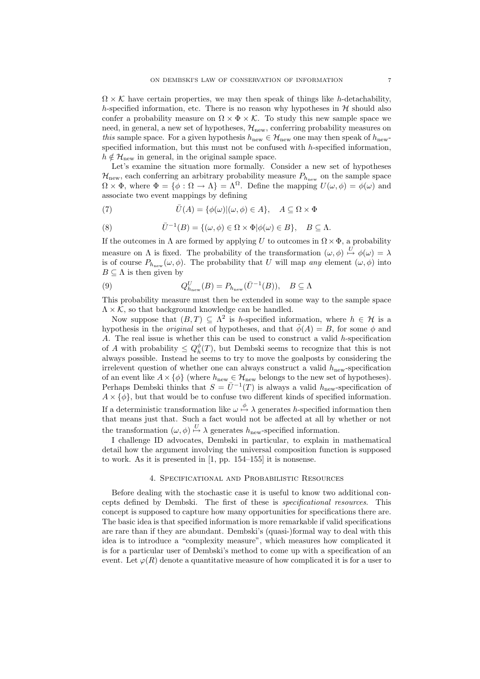$\Omega \times \mathcal{K}$  have certain properties, we may then speak of things like h-detachability, h-specified information, etc. There is no reason why hypotheses in  $\mathcal H$  should also confer a probability measure on  $\Omega \times \Phi \times \mathcal{K}$ . To study this new sample space we need, in general, a new set of hypotheses,  $\mathcal{H}_{\text{new}}$ , conferring probability measures on this sample space. For a given hypothesis  $h_{\text{new}} \in \mathcal{H}_{\text{new}}$  one may then speak of  $h_{\text{new}}$ . specified information, but this must not be confused with  $h$ -specified information,  $h \notin \mathcal{H}_{\text{new}}$  in general, in the original sample space.

Let's examine the situation more formally. Consider a new set of hypotheses  $\mathcal{H}_{\text{new}}$ , each conferring an arbitrary probability measure  $P_{h_{\text{new}}}$  on the sample space  $\Omega \times \Phi$ , where  $\Phi = {\phi : \Omega \to \Lambda} = \Lambda^{\Omega}$ . Define the mapping  $U(\omega, \phi) = \phi(\omega)$  and associate two event mappings by defining

(7) 
$$
\overline{U}(A) = \{ \phi(\omega) | (\omega, \phi) \in A \}, \quad A \subseteq \Omega \times \Phi
$$

(8) 
$$
\bar{U}^{-1}(B) = \{(\omega, \phi) \in \Omega \times \Phi | \phi(\omega) \in B \}, \quad B \subseteq \Lambda.
$$

If the outcomes in  $\Lambda$  are formed by applying U to outcomes in  $\Omega \times \Phi$ , a probability measure on  $\Lambda$  is fixed. The probability of the transformation  $(\omega, \phi) \stackrel{U}{\mapsto} \phi(\omega) = \lambda$ is of course  $P_{h_{\text{new}}}(\omega, \phi)$ . The probability that U will map any element  $(\omega, \phi)$  into  $B \subseteq \Lambda$  is then given by

(9) 
$$
Q_{h_{\text{new}}}^U(B) = P_{h_{\text{new}}}(\bar{U}^{-1}(B)), \quad B \subseteq \Lambda
$$

This probability measure must then be extended in some way to the sample space  $\Lambda \times \mathcal{K}$ , so that background knowledge can be handled.

Now suppose that  $(B,T) \subseteq \Lambda^2$  is h-specified information, where  $h \in \mathcal{H}$  is a hypothesis in the *original* set of hypotheses, and that  $\bar{\phi}(A) = B$ , for some  $\phi$  and A. The real issue is whether this can be used to construct a valid h-specification of A with probability  $\leq Q_h^{\phi}(T)$ , but Dembski seems to recognize that this is not always possible. Instead he seems to try to move the goalposts by considering the irrelevent question of whether one can always construct a valid  $h_{\text{new}}$ -specification of an event like  $A \times \{\phi\}$  (where  $h_{\text{new}} \in \mathcal{H}_{\text{new}}$  belongs to the new set of hypotheses). Perhaps Dembski thinks that  $S = \overline{U}^{-1}(T)$  is always a valid  $h_{\text{new}}$ -specification of  $A \times {\phi}$ , but that would be to confuse two different kinds of specified information. If a deterministic transformation like  $\omega \stackrel{\phi}{\mapsto} \lambda$  generates h-specified information then that means just that. Such a fact would not be affected at all by whether or not the transformation  $(\omega, \phi) \stackrel{U}{\mapsto} \lambda$  generates  $h_{\text{new}}$ -specified information.

I challenge ID advocates, Dembski in particular, to explain in mathematical detail how the argument involving the universal composition function is supposed to work. As it is presented in [1, pp. 154–155] it is nonsense.

### 4. Specificational and Probabilistic Resources

Before dealing with the stochastic case it is useful to know two additional concepts defined by Dembski. The first of these is specificational resources. This concept is supposed to capture how many opportunities for specifications there are. The basic idea is that specified information is more remarkable if valid specifications are rare than if they are abundant. Dembski's (quasi-)formal way to deal with this idea is to introduce a "complexity measure", which measures how complicated it is for a particular user of Dembski's method to come up with a specification of an event. Let  $\varphi(R)$  denote a quantitative measure of how complicated it is for a user to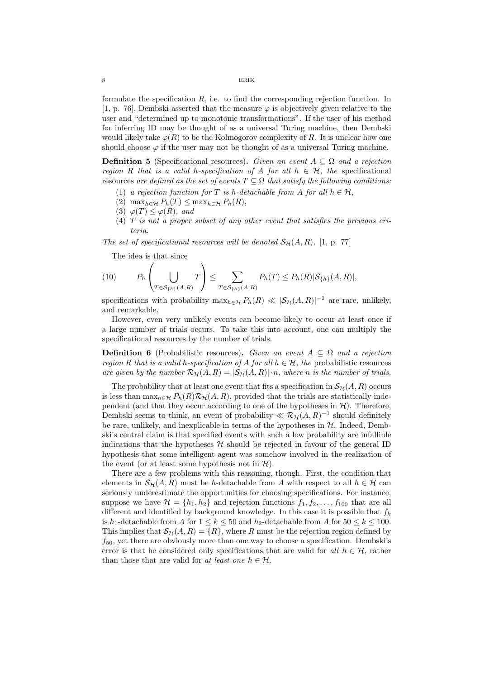formulate the specification  $R$ , i.e. to find the corresponding rejection function. In [1, p. 76], Dembski asserted that the measure  $\varphi$  is objectively given relative to the user and "determined up to monotonic transformations". If the user of his method for inferring ID may be thought of as a universal Turing machine, then Dembski would likely take  $\varphi(R)$  to be the Kolmogorov complexity of R. It is unclear how one should choose  $\varphi$  if the user may not be thought of as a universal Turing machine.

**Definition 5** (Specificational resources). Given an event  $A \subseteq \Omega$  and a rejection region R that is a valid h-specification of A for all  $h \in \mathcal{H}$ , the specificational resources are defined as the set of events  $T \subseteq \Omega$  that satisfy the following conditions:

- (1) a rejection function for T is h-detachable from A for all  $h \in \mathcal{H}$ ,
- (2) max $_{h\in\mathcal{H}} P_h(T) \leq \max_{h\in\mathcal{H}} P_h(R)$ ,
- (3)  $\varphi(T) \leq \varphi(R)$ , and
- (4)  $T$  is not a proper subset of any other event that satisfies the previous criteria.

The set of specificational resources will be denoted  $\mathcal{S}_{H}(A, R)$ . [1, p. 77]

The idea is that since

$$
(10) \t P_h\left(\bigcup_{T\in\mathcal{S}_{\{h\}}(A,R)}T\right)\leq \sum_{T\in\mathcal{S}_{\{h\}}(A,R)}P_h(T)\leq P_h(R)|\mathcal{S}_{\{h\}}(A,R)|,
$$

specifications with probability  $\max_{h \in \mathcal{H}} P_h(R) \ll |\mathcal{S}_{\mathcal{H}}(A,R)|^{-1}$  are rare, unlikely, and remarkable.

However, even very unlikely events can become likely to occur at least once if a large number of trials occurs. To take this into account, one can multiply the specificational resources by the number of trials.

**Definition 6** (Probabilistic resources). Given an event  $A \subseteq \Omega$  and a rejection region R that is a valid h-specification of A for all  $h \in \mathcal{H}$ , the probabilistic resources are given by the number  $\mathcal{R}_{\mathcal{H}}(A, R) = |\mathcal{S}_{\mathcal{H}}(A, R)| \cdot n$ , where n is the number of trials.

The probability that at least one event that fits a specification in  $\mathcal{S}_{\mathcal{H}}(A, R)$  occurs is less than  $\max_{h \in \mathcal{H}} P_h(R) \mathcal{R}_{\mathcal{H}}(A, R)$ , provided that the trials are statistically independent (and that they occur according to one of the hypotheses in  $H$ ). Therefore, Dembski seems to think, an event of probability  $\ll R_{\mathcal{H}}(A, R)^{-1}$  should definitely be rare, unlikely, and inexplicable in terms of the hypotheses in  $H$ . Indeed, Dembski's central claim is that specified events with such a low probability are infallible indications that the hypotheses  $H$  should be rejected in favour of the general ID hypothesis that some intelligent agent was somehow involved in the realization of the event (or at least some hypothesis not in  $\mathcal{H}$ ).

There are a few problems with this reasoning, though. First, the condition that elements in  $\mathcal{S}_{\mathcal{H}}(A, R)$  must be h-detachable from A with respect to all  $h \in \mathcal{H}$  can seriously underestimate the opportunities for choosing specifications. For instance, suppose we have  $\mathcal{H} = \{h_1, h_2\}$  and rejection functions  $f_1, f_2, \ldots, f_{100}$  that are all different and identified by background knowledge. In this case it is possible that  $f_k$ is  $h_1$ -detachable from A for  $1 \leq k \leq 50$  and  $h_2$ -detachable from A for  $50 \leq k \leq 100$ . This implies that  $\mathcal{S}_{\mathcal{H}}(A, R) = \{R\}$ , where R must be the rejection region defined by  $f_{50}$ , yet there are obviously more than one way to choose a specification. Dembski's error is that he considered only specifications that are valid for all  $h \in \mathcal{H}$ , rather than those that are valid for at least one  $h \in \mathcal{H}$ .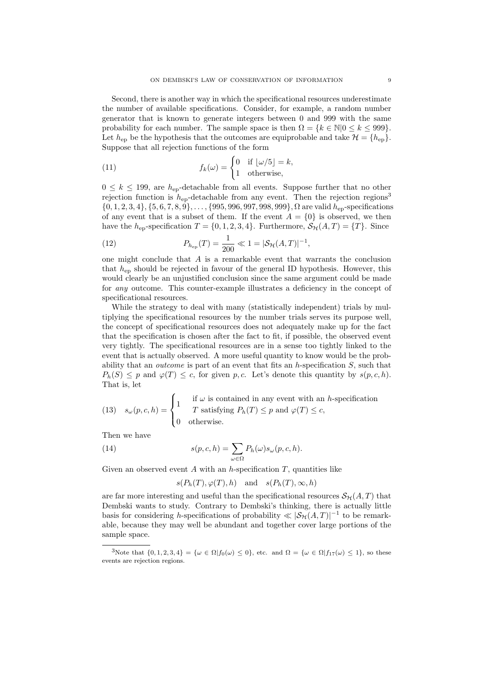Second, there is another way in which the specificational resources underestimate the number of available specifications. Consider, for example, a random number generator that is known to generate integers between 0 and 999 with the same probability for each number. The sample space is then  $\Omega = \{k \in \mathbb{N} | 0 \leq k \leq 999\}.$ Let  $h_{\text{en}}$  be the hypothesis that the outcomes are equiprobable and take  $\mathcal{H} = \{h_{\text{en}}\}.$ Suppose that all rejection functions of the form

(11) 
$$
f_k(\omega) = \begin{cases} 0 & \text{if } |\omega/5| = k, \\ 1 & \text{otherwise,} \end{cases}
$$

 $0 \leq k \leq 199$ , are  $h_{\text{ep}}$ -detachable from all events. Suppose further that no other rejection function is  $h_{ep}$ -detachable from any event. Then the rejection regions<sup>3</sup>  $\{0, 1, 2, 3, 4\}, \{5, 6, 7, 8, 9\}, \ldots, \{995, 996, 997, 998, 999\}, \Omega$  are valid  $h_{ep}$ -specifications of any event that is a subset of them. If the event  $A = \{0\}$  is observed, we then have the h<sub>ep</sub>-specification  $T = \{0, 1, 2, 3, 4\}$ . Furthermore,  $\mathcal{S}_{H}(A, T) = \{T\}$ . Since

(12) 
$$
P_{h_{\text{ep}}}(T) = \frac{1}{200} \ll 1 = |\mathcal{S}_{\mathcal{H}}(A,T)|^{-1},
$$

one might conclude that  $A$  is a remarkable event that warrants the conclusion that  $h_{ep}$  should be rejected in favour of the general ID hypothesis. However, this would clearly be an unjustified conclusion since the same argument could be made for any outcome. This counter-example illustrates a deficiency in the concept of specificational resources.

While the strategy to deal with many (statistically independent) trials by multiplying the specificational resources by the number trials serves its purpose well, the concept of specificational resources does not adequately make up for the fact that the specification is chosen after the fact to fit, if possible, the observed event very tightly. The specificational resources are in a sense too tightly linked to the event that is actually observed. A more useful quantity to know would be the probability that an *outcome* is part of an event that fits an  $h$ -specification  $S$ , such that  $P_h(S) \leq p$  and  $\varphi(T) \leq c$ , for given p, c. Let's denote this quantity by  $s(p, c, h)$ . That is, let

(13) 
$$
s_{\omega}(p, c, h) = \begin{cases} 1 & \text{if } \omega \text{ is contained in any event with an } h \text{-specification} \\ 0 & \text{otherwise.} \end{cases}
$$

Then we have

(14) 
$$
s(p,c,h) = \sum_{\omega \in \Omega} P_h(\omega) s_{\omega}(p,c,h).
$$

Given an observed event A with an h-specification  $T$ , quantities like

$$
s(P_h(T), \varphi(T), h)
$$
 and  $s(P_h(T), \infty, h)$ 

are far more interesting and useful than the specificational resources  $\mathcal{S}_{H}(A, T)$  that Dembski wants to study. Contrary to Dembski's thinking, there is actually little basis for considering h-specifications of probability  $\ll |\mathcal{S}_{\mathcal{H}}(A, T)|^{-1}$  to be remarkable, because they may well be abundant and together cover large portions of the sample space.

<sup>3</sup>Note that  $\{0, 1, 2, 3, 4\} = {\omega \in \Omega | f_0(\omega) \leq 0}$ , etc. and  $\Omega = {\omega \in \Omega | f_{17}(\omega) \leq 1}$ , so these events are rejection regions.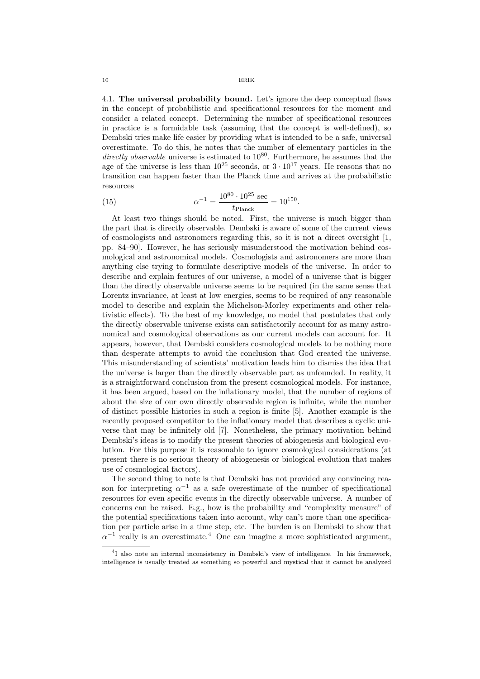#### 10 ERIK

4.1. The universal probability bound. Let's ignore the deep conceptual flaws in the concept of probabilistic and specificational resources for the moment and consider a related concept. Determining the number of specificational resources in practice is a formidable task (assuming that the concept is well-defined), so Dembski tries make life easier by providing what is intended to be a safe, universal overestimate. To do this, he notes that the number of elementary particles in the directly observable universe is estimated to  $10^{80}$ . Furthermore, he assumes that the age of the universe is less than  $10^{25}$  seconds, or  $3 \cdot 10^{17}$  years. He reasons that no transition can happen faster than the Planck time and arrives at the probabilistic resources

(15) 
$$
\alpha^{-1} = \frac{10^{80} \cdot 10^{25} \text{ sec}}{t_{\text{Planck}}} = 10^{150}.
$$

At least two things should be noted. First, the universe is much bigger than the part that is directly observable. Dembski is aware of some of the current views of cosmologists and astronomers regarding this, so it is not a direct oversight [1, pp. 84–90]. However, he has seriously misunderstood the motivation behind cosmological and astronomical models. Cosmologists and astronomers are more than anything else trying to formulate descriptive models of the universe. In order to describe and explain features of our universe, a model of a universe that is bigger than the directly observable universe seems to be required (in the same sense that Lorentz invariance, at least at low energies, seems to be required of any reasonable model to describe and explain the Michelson-Morley experiments and other relativistic effects). To the best of my knowledge, no model that postulates that only the directly observable universe exists can satisfactorily account for as many astronomical and cosmological observations as our current models can account for. It appears, however, that Dembski considers cosmological models to be nothing more than desperate attempts to avoid the conclusion that God created the universe. This misunderstanding of scientists' motivation leads him to dismiss the idea that the universe is larger than the directly observable part as unfounded. In reality, it is a straightforward conclusion from the present cosmological models. For instance, it has been argued, based on the inflationary model, that the number of regions of about the size of our own directly observable region is infinite, while the number of distinct possible histories in such a region is finite [5]. Another example is the recently proposed competitor to the inflationary model that describes a cyclic universe that may be infinitely old [7]. Nonetheless, the primary motivation behind Dembski's ideas is to modify the present theories of abiogenesis and biological evolution. For this purpose it is reasonable to ignore cosmological considerations (at present there is no serious theory of abiogenesis or biological evolution that makes use of cosmological factors).

The second thing to note is that Dembski has not provided any convincing reason for interpreting  $\alpha^{-1}$  as a safe overestimate of the number of specificational resources for even specific events in the directly observable universe. A number of concerns can be raised. E.g., how is the probability and "complexity measure" of the potential specifications taken into account, why can't more than one specification per particle arise in a time step, etc. The burden is on Dembski to show that  $\alpha^{-1}$  really is an overestimate.<sup>4</sup> One can imagine a more sophisticated argument,

<sup>&</sup>lt;sup>4</sup>I also note an internal inconsistency in Dembski's view of intelligence. In his framework, intelligence is usually treated as something so powerful and mystical that it cannot be analyzed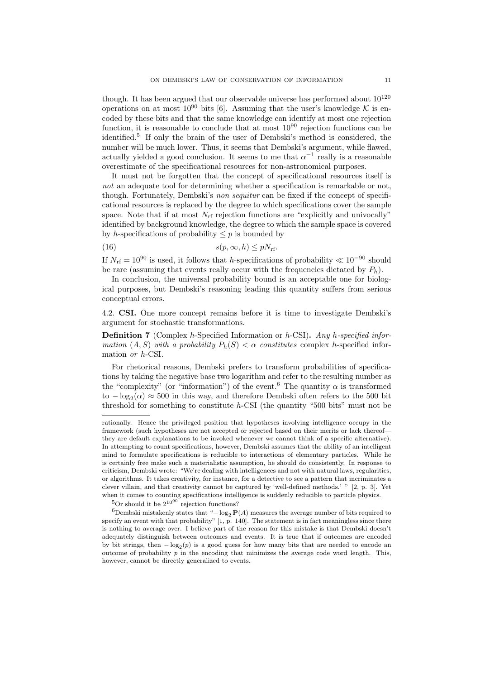though. It has been argued that our observable universe has performed about  $10^{120}$ operations on at most  $10^{90}$  bits [6]. Assuming that the user's knowledge K is encoded by these bits and that the same knowledge can identify at most one rejection function, it is reasonable to conclude that at most  $10^{90}$  rejection functions can be identified.<sup>5</sup> If only the brain of the user of Dembski's method is considered, the number will be much lower. Thus, it seems that Dembski's argument, while flawed, actually yielded a good conclusion. It seems to me that  $\alpha^{-1}$  really is a reasonable overestimate of the specificational resources for non-astronomical purposes.

It must not be forgotten that the concept of specificational resources itself is not an adequate tool for determining whether a specification is remarkable or not, though. Fortunately, Dembski's non sequitur can be fixed if the concept of specificational resources is replaced by the degree to which specifications cover the sample space. Note that if at most  $N_{\rm rf}$  rejection functions are "explicitly and univocally" identified by background knowledge, the degree to which the sample space is covered by h-specifications of probability  $\leq p$  is bounded by

$$
(16) \t\t s(p,\infty,h) \le pN_{\rm rf}.
$$

If  $N_{\text{rf}} = 10^{90}$  is used, it follows that h-specifications of probability  $\ll 10^{-90}$  should be rare (assuming that events really occur with the frequencies dictated by  $P_h$ ).

In conclusion, the universal probability bound is an acceptable one for biological purposes, but Dembski's reasoning leading this quantity suffers from serious conceptual errors.

4.2. CSI. One more concept remains before it is time to investigate Dembski's argument for stochastic transformations.

**Definition 7** (Complex h-Specified Information or h-CSI). Any h-specified information  $(A, S)$  with a probability  $P_h(S) < \alpha$  constitutes complex h-specified information or h-CSI.

For rhetorical reasons, Dembski prefers to transform probabilities of specifications by taking the negative base two logarithm and refer to the resulting number as the "complexity" (or "information") of the event.<sup>6</sup> The quantity  $\alpha$  is transformed to  $-\log_2(\alpha) \approx 500$  in this way, and therefore Dembski often refers to the 500 bit threshold for something to constitute  $h$ -CSI (the quantity "500 bits" must not be

 ${}^{5}$ Or should it be  $2^{10^{90}}$  rejection functions?

rationally. Hence the privileged position that hypotheses involving intelligence occupy in the framework (such hypotheses are not accepted or rejected based on their merits or lack thereof they are default explanations to be invoked whenever we cannot think of a specific alternative). In attempting to count specifications, however, Dembski assumes that the ability of an intelligent mind to formulate specifications is reducible to interactions of elementary particles. While he is certainly free make such a materialistic assumption, he should do consistently. In response to criticism, Dembski wrote: "We're dealing with intelligences and not with natural laws, regularities, or algorithms. It takes creativity, for instance, for a detective to see a pattern that incriminates a clever villain, and that creativity cannot be captured by 'well-defined methods.' " [2, p. 3]. Yet when it comes to counting specifications intelligence is suddenly reducible to particle physics.

 $6D$ embski mistakenly states that "− log<sub>2</sub> P(A) measures the average number of bits required to specify an event with that probability"  $[1, p. 140]$ . The statement is in fact meaningless since there is nothing to average over. I believe part of the reason for this mistake is that Dembski doesn't adequately distinguish between outcomes and events. It is true that if outcomes are encoded by bit strings, then  $-\log_2(p)$  is a good guess for how many bits that are needed to encode an outcome of probability  $p$  in the encoding that minimizes the average code word length. This, however, cannot be directly generalized to events.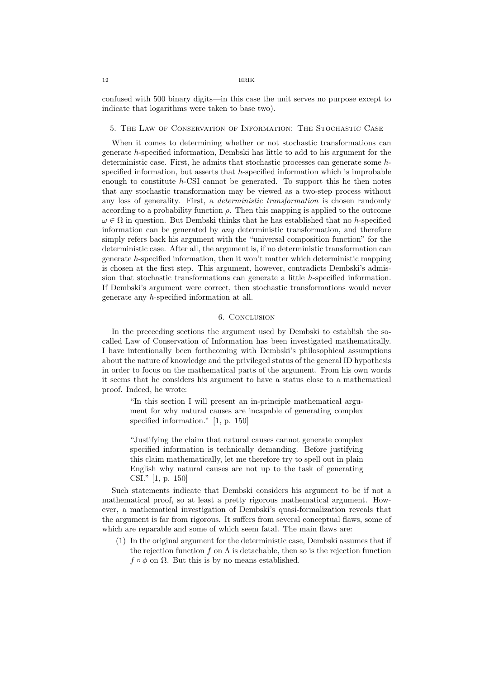#### 12 ERIK

confused with 500 binary digits—in this case the unit serves no purpose except to indicate that logarithms were taken to base two).

### 5. The Law of Conservation of Information: The Stochastic Case

When it comes to determining whether or not stochastic transformations can generate h-specified information, Dembski has little to add to his argument for the deterministic case. First, he admits that stochastic processes can generate some hspecified information, but asserts that  $h$ -specified information which is improbable enough to constitute  $h$ -CSI cannot be generated. To support this he then notes that any stochastic transformation may be viewed as a two-step process without any loss of generality. First, a deterministic transformation is chosen randomly according to a probability function  $\rho$ . Then this mapping is applied to the outcome  $\omega \in \Omega$  in question. But Dembski thinks that he has established that no h-specified information can be generated by any deterministic transformation, and therefore simply refers back his argument with the "universal composition function" for the deterministic case. After all, the argument is, if no deterministic transformation can generate h-specified information, then it won't matter which deterministic mapping is chosen at the first step. This argument, however, contradicts Dembski's admission that stochastic transformations can generate a little h-specified information. If Dembski's argument were correct, then stochastic transformations would never generate any h-specified information at all.

# 6. Conclusion

In the preceeding sections the argument used by Dembski to establish the socalled Law of Conservation of Information has been investigated mathematically. I have intentionally been forthcoming with Dembski's philosophical assumptions about the nature of knowledge and the privileged status of the general ID hypothesis in order to focus on the mathematical parts of the argument. From his own words it seems that he considers his argument to have a status close to a mathematical proof. Indeed, he wrote:

"In this section I will present an in-principle mathematical argument for why natural causes are incapable of generating complex specified information." [1, p. 150]

"Justifying the claim that natural causes cannot generate complex specified information is technically demanding. Before justifying this claim mathematically, let me therefore try to spell out in plain English why natural causes are not up to the task of generating CSI." [1, p. 150]

Such statements indicate that Dembski considers his argument to be if not a mathematical proof, so at least a pretty rigorous mathematical argument. However, a mathematical investigation of Dembski's quasi-formalization reveals that the argument is far from rigorous. It suffers from several conceptual flaws, some of which are reparable and some of which seem fatal. The main flaws are:

(1) In the original argument for the deterministic case, Dembski assumes that if the rejection function f on  $\Lambda$  is detachable, then so is the rejection function  $f \circ \phi$  on  $\Omega$ . But this is by no means established.